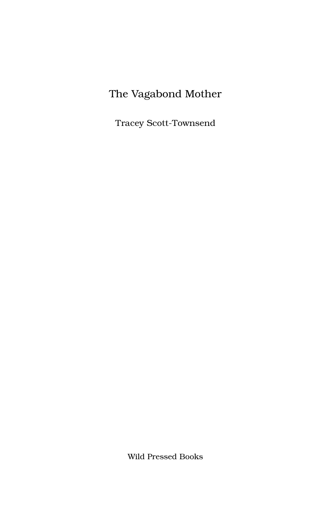## The Vagabond Mother

Tracey Scott-Townsend

Wild Pressed Books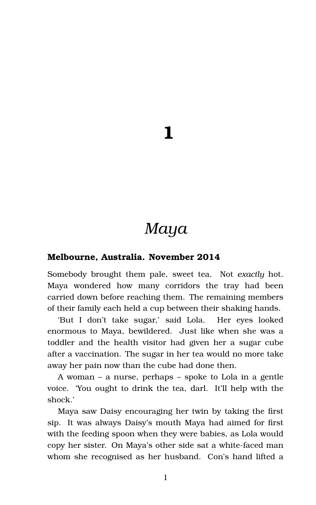**1**

## *Maya*

## **Melbourne, Australia. November 2014**

Somebody brought them pale, sweet tea. Not *exactly* hot. Maya wondered how many corridors the tray had been carried down before reaching them. The remaining members of their family each held a cup between their shaking hands.

'But I don't take sugar,' said Lola. Her eyes looked enormous to Maya, bewildered. Just like when she was a toddler and the health visitor had given her a sugar cube after a vaccination. The sugar in her tea would no more take away her pain now than the cube had done then.

A woman – a nurse, perhaps – spoke to Lola in a gentle voice. 'You ought to drink the tea, darl. It'll help with the shock.'

Maya saw Daisy encouraging her twin by taking the first sip. It was always Daisy's mouth Maya had aimed for first with the feeding spoon when they were babies, as Lola would copy her sister. On Maya's other side sat a white-faced man whom she recognised as her husband. Con's hand lifted a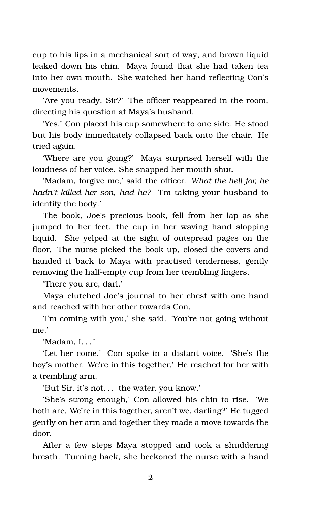cup to his lips in a mechanical sort of way, and brown liquid leaked down his chin. Maya found that she had taken tea into her own mouth. She watched her hand reflecting Con's movements.

'Are you ready, Sir?' The officer reappeared in the room, directing his question at Maya's husband.

'Yes.' Con placed his cup somewhere to one side. He stood but his body immediately collapsed back onto the chair. He tried again.

'Where are you going?' Maya surprised herself with the loudness of her voice. She snapped her mouth shut.

'Madam, forgive me,' said the officer. *What the hell for, he hadn't killed her son, had he?* 'I'm taking your husband to identify the body.'

The book, Joe's precious book, fell from her lap as she jumped to her feet, the cup in her waving hand slopping liquid. She yelped at the sight of outspread pages on the floor. The nurse picked the book up, closed the covers and handed it back to Maya with practised tenderness, gently removing the half-empty cup from her trembling fingers.

'There you are, darl.'

Maya clutched Joe's journal to her chest with one hand and reached with her other towards Con.

'I'm coming with you,' she said. 'You're not going without me.'

'Madam, I. . . '

'Let her come.' Con spoke in a distant voice. 'She's the boy's mother. We're in this together.' He reached for her with a trembling arm.

'But Sir, it's not. . . the water, you know.'

'She's strong enough,' Con allowed his chin to rise. 'We both are. We're in this together, aren't we, darling?' He tugged gently on her arm and together they made a move towards the door.

After a few steps Maya stopped and took a shuddering breath. Turning back, she beckoned the nurse with a hand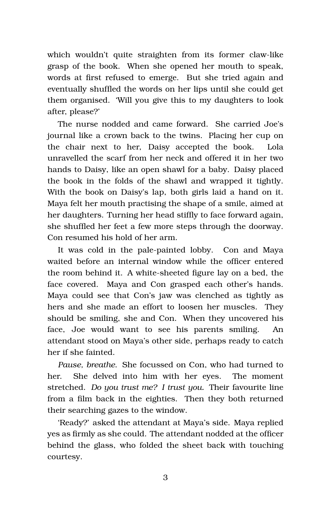which wouldn't quite straighten from its former claw-like grasp of the book. When she opened her mouth to speak, words at first refused to emerge. But she tried again and eventually shuffled the words on her lips until she could get them organised. 'Will you give this to my daughters to look after, please?'

The nurse nodded and came forward. She carried Joe's journal like a crown back to the twins. Placing her cup on the chair next to her, Daisy accepted the book. Lola unravelled the scarf from her neck and offered it in her two hands to Daisy, like an open shawl for a baby. Daisy placed the book in the folds of the shawl and wrapped it tightly. With the book on Daisy's lap, both girls laid a hand on it. Maya felt her mouth practising the shape of a smile, aimed at her daughters. Turning her head stiffly to face forward again, she shuffled her feet a few more steps through the doorway. Con resumed his hold of her arm.

It was cold in the pale-painted lobby. Con and Maya waited before an internal window while the officer entered the room behind it. A white-sheeted figure lay on a bed, the face covered. Maya and Con grasped each other's hands. Maya could see that Con's jaw was clenched as tightly as hers and she made an effort to loosen her muscles. They should be smiling, she and Con. When they uncovered his face, Joe would want to see his parents smiling. An attendant stood on Maya's other side, perhaps ready to catch her if she fainted.

*Pause, breathe*. She focussed on Con, who had turned to her. She delved into him with her eyes. The moment stretched. *Do you trust me? I trust you.* Their favourite line from a film back in the eighties. Then they both returned their searching gazes to the window.

'Ready?' asked the attendant at Maya's side. Maya replied yes as firmly as she could. The attendant nodded at the officer behind the glass, who folded the sheet back with touching courtesy.